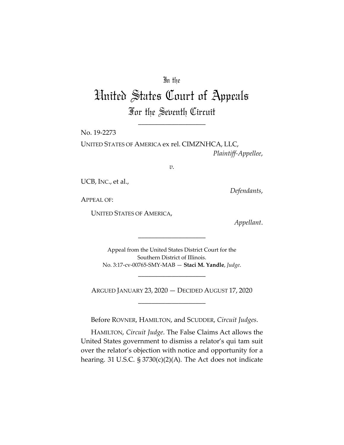# In the

# United States Court of Appeals For the Seventh Circuit

\_\_\_\_\_\_\_\_\_\_\_\_\_\_\_\_\_\_\_\_

No. 19-2273

UNITED STATES OF AMERICA ex rel. CIMZNHCA, LLC, *Plaintiff-Appellee*,

*v.*

UCB, INC., et al.,

*Defendants*,

APPEAL OF:

UNITED STATES OF AMERICA,

*Appellant*.

Appeal from the United States District Court for the Southern District of Illinois. No. 3:17-cv-00765-SMY-MAB — **Staci M. Yandle**, *Judge*.

\_\_\_\_\_\_\_\_\_\_\_\_\_\_\_\_\_\_\_\_

ARGUED JANUARY 23, 2020 — DECIDED AUGUST 17, 2020 \_\_\_\_\_\_\_\_\_\_\_\_\_\_\_\_\_\_\_\_

\_\_\_\_\_\_\_\_\_\_\_\_\_\_\_\_\_\_\_\_

Before ROVNER, HAMILTON, and SCUDDER, *Circuit Judges*.

HAMILTON, *Circuit Judge*. The False Claims Act allows the United States government to dismiss a relator's qui tam suit over the relator's objection with notice and opportunity for a hearing. 31 U.S.C. § 3730(c)(2)(A). The Act does not indicate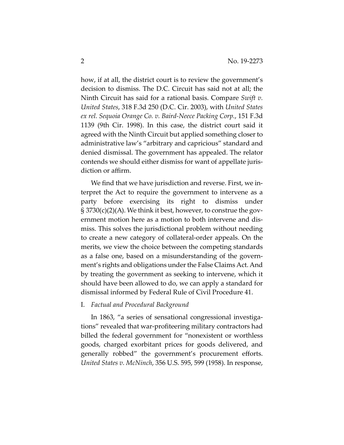how, if at all, the district court is to review the government's decision to dismiss. The D.C. Circuit has said not at all; the Ninth Circuit has said for a rational basis. Compare *Swift v. United States*, 318 F.3d 250 (D.C. Cir. 2003), with *United States ex rel. Sequoia Orange Co. v. Baird-Neece Packing Corp.*, 151 F.3d 1139 (9th Cir. 1998). In this case, the district court said it agreed with the Ninth Circuit but applied something closer to administrative law's "arbitrary and capricious" standard and denied dismissal. The government has appealed. The relator contends we should either dismiss for want of appellate jurisdiction or affirm.

We find that we have jurisdiction and reverse. First, we interpret the Act to require the government to intervene as a party before exercising its right to dismiss under § 3730(c)(2)(A). We think it best, however, to construe the government motion here as a motion to both intervene and dismiss. This solves the jurisdictional problem without needing to create a new category of collateral-order appeals. On the merits, we view the choice between the competing standards as a false one, based on a misunderstanding of the government's rights and obligations under the False Claims Act. And by treating the government as seeking to intervene, which it should have been allowed to do, we can apply a standard for dismissal informed by Federal Rule of Civil Procedure 41.

#### I. *Factual and Procedural Background*

In 1863, "a series of sensational congressional investigations" revealed that war-profiteering military contractors had billed the federal government for "nonexistent or worthless goods, charged exorbitant prices for goods delivered, and generally robbed" the government's procurement efforts. *United States v. McNinch*, 356 U.S. 595, 599 (1958). In response,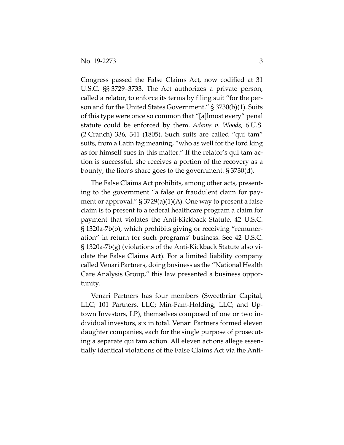Congress passed the False Claims Act, now codified at 31 U.S.C. §§ 3729–3733. The Act authorizes a private person, called a relator, to enforce its terms by filing suit "for the person and for the United States Government." § 3730(b)(1). Suits of this type were once so common that "[a]lmost every" penal statute could be enforced by them. *Adams v. Woods*, 6 U.S. (2 Cranch) 336, 341 (1805). Such suits are called "qui tam" suits, from a Latin tag meaning, "who as well for the lord king as for himself sues in this matter." If the relator's qui tam action is successful, she receives a portion of the recovery as a bounty; the lion's share goes to the government. § 3730(d).

The False Claims Act prohibits, among other acts, presenting to the government "a false or fraudulent claim for payment or approval." § 3729(a)(1)(A). One way to present a false claim is to present to a federal healthcare program a claim for payment that violates the Anti-Kickback Statute, 42 U.S.C. § 1320a-7b(b), which prohibits giving or receiving "remuneration" in return for such programs' business. See 42 U.S.C. § 1320a-7b(g) (violations of the Anti-Kickback Statute also violate the False Claims Act). For a limited liability company called Venari Partners, doing business as the "National Health Care Analysis Group," this law presented a business opportunity.

Venari Partners has four members (Sweetbriar Capital, LLC; 101 Partners, LLC; Min-Fam-Holding, LLC; and Uptown Investors, LP), themselves composed of one or two individual investors, six in total. Venari Partners formed eleven daughter companies, each for the single purpose of prosecuting a separate qui tam action. All eleven actions allege essentially identical violations of the False Claims Act via the Anti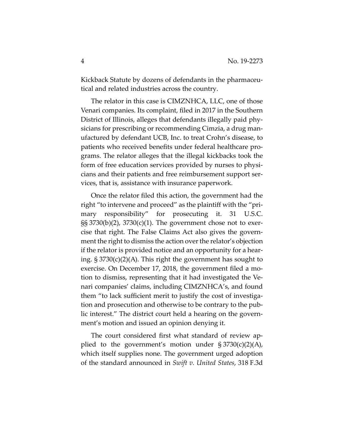Kickback Statute by dozens of defendants in the pharmaceutical and related industries across the country.

The relator in this case is CIMZNHCA, LLC, one of those Venari companies. Its complaint, filed in 2017 in the Southern District of Illinois, alleges that defendants illegally paid physicians for prescribing or recommending Cimzia, a drug manufactured by defendant UCB, Inc. to treat Crohn's disease, to patients who received benefits under federal healthcare programs. The relator alleges that the illegal kickbacks took the form of free education services provided by nurses to physicians and their patients and free reimbursement support services, that is, assistance with insurance paperwork.

Once the relator filed this action, the government had the right "to intervene and proceed" as the plaintiff with the "primary responsibility" for prosecuting it. 31 U.S.C. §§ 3730(b)(2), 3730(c)(1). The government chose not to exercise that right. The False Claims Act also gives the government the right to dismiss the action over the relator's objection if the relator is provided notice and an opportunity for a hearing. § 3730(c)(2)(A). This right the government has sought to exercise. On December 17, 2018, the government filed a motion to dismiss, representing that it had investigated the Venari companies' claims, including CIMZNHCA's, and found them "to lack sufficient merit to justify the cost of investigation and prosecution and otherwise to be contrary to the public interest." The district court held a hearing on the government's motion and issued an opinion denying it.

The court considered first what standard of review applied to the government's motion under  $\S 3730(c)(2)(A)$ , which itself supplies none. The government urged adoption of the standard announced in *Swift v. United States*, 318 F.3d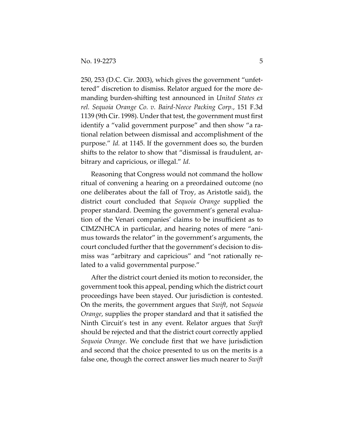250, 253 (D.C. Cir. 2003), which gives the government "unfettered" discretion to dismiss. Relator argued for the more demanding burden-shifting test announced in *United States ex rel. Sequoia Orange Co. v. Baird-Neece Packing Corp.*, 151 F.3d 1139 (9th Cir. 1998). Under that test, the government must first identify a "valid government purpose" and then show "a rational relation between dismissal and accomplishment of the purpose." *Id.* at 1145. If the government does so, the burden shifts to the relator to show that "dismissal is fraudulent, arbitrary and capricious, or illegal." *Id.*

Reasoning that Congress would not command the hollow ritual of convening a hearing on a preordained outcome (no one deliberates about the fall of Troy, as Aristotle said), the district court concluded that *Sequoia Orange* supplied the proper standard. Deeming the government's general evaluation of the Venari companies' claims to be insufficient as to CIMZNHCA in particular, and hearing notes of mere "animus towards the relator" in the government's arguments, the court concluded further that the government's decision to dismiss was "arbitrary and capricious" and "not rationally related to a valid governmental purpose."

After the district court denied its motion to reconsider, the government took this appeal, pending which the district court proceedings have been stayed. Our jurisdiction is contested. On the merits, the government argues that *Swift*, not *Sequoia Orange*, supplies the proper standard and that it satisfied the Ninth Circuit's test in any event. Relator argues that *Swift* should be rejected and that the district court correctly applied *Sequoia Orange*. We conclude first that we have jurisdiction and second that the choice presented to us on the merits is a false one, though the correct answer lies much nearer to *Swift*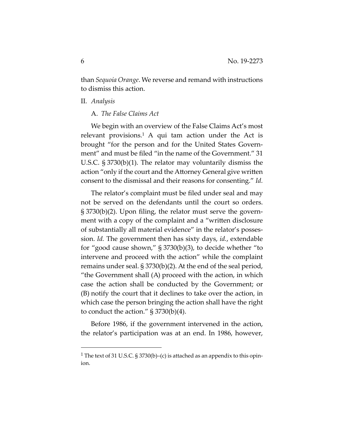than *Sequoia Orange*. We reverse and remand with instructions to dismiss this action.

#### II. *Analysis*

#### A. *The False Claims Act*

We begin with an overview of the False Claims Act's most relevant provisions.<sup>1</sup> A qui tam action under the Act is brought "for the person and for the United States Government" and must be filed "in the name of the Government." 31 U.S.C. § 3730(b)(1). The relator may voluntarily dismiss the action "only if the court and the Attorney General give written consent to the dismissal and their reasons for consenting." *Id.*

The relator's complaint must be filed under seal and may not be served on the defendants until the court so orders. § 3730(b)(2). Upon filing, the relator must serve the government with a copy of the complaint and a "written disclosure of substantially all material evidence" in the relator's possession. *Id.* The government then has sixty days, *id.*, extendable for "good cause shown," § 3730(b)(3), to decide whether "to intervene and proceed with the action" while the complaint remains under seal. § 3730(b)(2). At the end of the seal period, "the Government shall (A) proceed with the action, in which case the action shall be conducted by the Government; or (B) notify the court that it declines to take over the action, in which case the person bringing the action shall have the right to conduct the action."  $\S 3730(b)(4)$ .

Before 1986, if the government intervened in the action, the relator's participation was at an end. In 1986, however,

<sup>&</sup>lt;sup>1</sup> The text of 31 U.S.C. § 3730(b)–(c) is attached as an appendix to this opinion.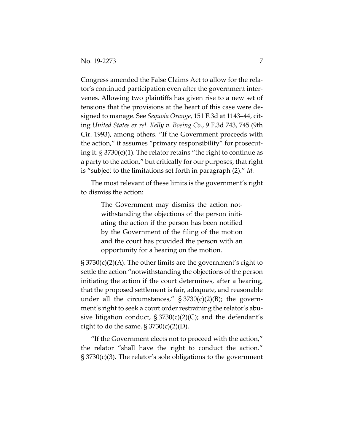Congress amended the False Claims Act to allow for the relator's continued participation even after the government intervenes. Allowing two plaintiffs has given rise to a new set of tensions that the provisions at the heart of this case were designed to manage. See *Sequoia Orange*, 151 F.3d at 1143–44, citing *United States ex rel. Kelly v. Boeing Co.*, 9 F.3d 743, 745 (9th Cir. 1993), among others. "If the Government proceeds with the action," it assumes "primary responsibility" for prosecuting it.  $\S 3730(c)(1)$ . The relator retains "the right to continue as a party to the action," but critically for our purposes, that right is "subject to the limitations set forth in paragraph (2)." *Id.*

The most relevant of these limits is the government's right to dismiss the action:

> The Government may dismiss the action notwithstanding the objections of the person initiating the action if the person has been notified by the Government of the filing of the motion and the court has provided the person with an opportunity for a hearing on the motion.

§ 3730(c)(2)(A). The other limits are the government's right to settle the action "notwithstanding the objections of the person initiating the action if the court determines, after a hearing, that the proposed settlement is fair, adequate, and reasonable under all the circumstances,"  $\S 3730(c)(2)(B)$ ; the government's right to seek a court order restraining the relator's abusive litigation conduct,  $\S 3730(c)(2)(C)$ ; and the defendant's right to do the same.  $\S 3730(c)(2)(D)$ .

"If the Government elects not to proceed with the action," the relator "shall have the right to conduct the action." § 3730(c)(3). The relator's sole obligations to the government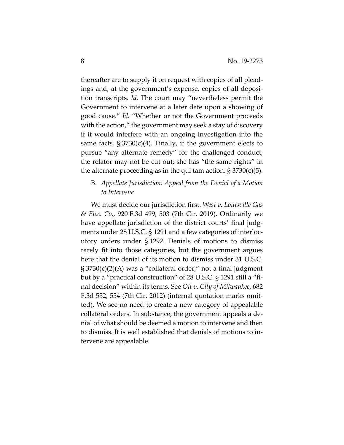thereafter are to supply it on request with copies of all pleadings and, at the government's expense, copies of all deposition transcripts. *Id.* The court may "nevertheless permit the Government to intervene at a later date upon a showing of good cause." *Id.* "Whether or not the Government proceeds with the action," the government may seek a stay of discovery if it would interfere with an ongoing investigation into the same facts.  $\S 3730(c)(4)$ . Finally, if the government elects to pursue "any alternate remedy" for the challenged conduct, the relator may not be cut out; she has "the same rights" in the alternate proceeding as in the qui tam action.  $\S 3730(c)(5)$ .

# B. *Appellate Jurisdiction: Appeal from the Denial of a Motion to Intervene*

We must decide our jurisdiction first. *West v. Louisville Gas & Elec. Co.*, 920 F.3d 499, 503 (7th Cir. 2019). Ordinarily we have appellate jurisdiction of the district courts' final judgments under 28 U.S.C. § 1291 and a few categories of interlocutory orders under § 1292. Denials of motions to dismiss rarely fit into those categories, but the government argues here that the denial of its motion to dismiss under 31 U.S.C. § 3730(c)(2)(A) was a "collateral order," not a final judgment but by a "practical construction" of 28 U.S.C. § 1291 still a "final decision" within its terms. See *Ott v. City of Milwaukee*, 682 F.3d 552, 554 (7th Cir. 2012) (internal quotation marks omitted). We see no need to create a new category of appealable collateral orders. In substance, the government appeals a denial of what should be deemed a motion to intervene and then to dismiss. It is well established that denials of motions to intervene are appealable.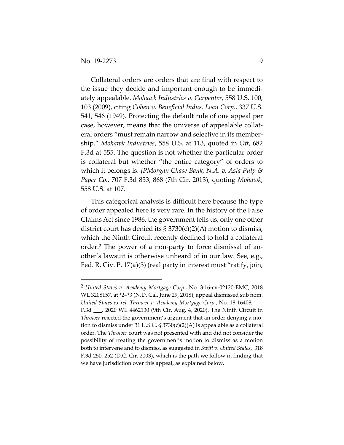Collateral orders are orders that are final with respect to the issue they decide and important enough to be immediately appealable. *Mohawk Industries v. Carpenter*, 558 U.S. 100, 103 (2009), citing *Cohen v. Beneficial Indus. Loan Corp.*, 337 U.S. 541, 546 (1949). Protecting the default rule of one appeal per case, however, means that the universe of appealable collateral orders "must remain narrow and selective in its membership." *Mohawk Industries*, 558 U.S. at 113, quoted in *Ott*, 682 F.3d at 555. The question is not whether the particular order is collateral but whether "the entire category" of orders to which it belongs is. *JPMorgan Chase Bank, N.A. v. Asia Pulp & Paper Co.*, 707 F.3d 853, 868 (7th Cir. 2013), quoting *Mohawk*, 558 U.S. at 107.

This categorical analysis is difficult here because the type of order appealed here is very rare. In the history of the False Claims Act since 1986, the government tells us, only one other district court has denied its  $\S 3730(c)(2)(A)$  motion to dismiss, which the Ninth Circuit recently declined to hold a collateral order.2 The power of a non-party to force dismissal of another's lawsuit is otherwise unheard of in our law. See, e.g., Fed. R. Civ. P. 17(a)(3) (real party in interest must "ratify, join,

<sup>2</sup> *United States v. Academy Mortgage Corp.*, No. 3:16-cv-02120-EMC, 2018 WL 3208157, at \*2–\*3 (N.D. Cal. June 29, 2018), appeal dismissed sub nom. *United States ex rel. Thrower v. Academy Mortgage Corp.*, No. 18-16408, \_\_\_ F.3d \_\_\_, 2020 WL 4462130 (9th Cir. Aug. 4, 2020). The Ninth Circuit in *Thrower* rejected the government's argument that an order denying a motion to dismiss under 31 U.S.C. § 3730(c)(2)(A) is appealable as a collateral order. The *Thrower* court was not presented with and did not consider the possibility of treating the government's motion to dismiss as a motion both to intervene and to dismiss, as suggested in *Swift v. United States*, 318 F.3d 250, 252 (D.C. Cir. 2003), which is the path we follow in finding that we have jurisdiction over this appeal, as explained below.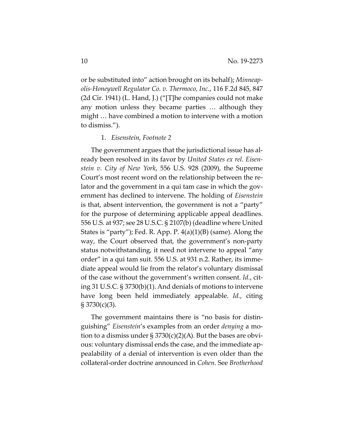or be substituted into" action brought on its behalf); *Minneapolis-Honeywell Regulator Co. v. Thermoco, Inc.*, 116 F.2d 845, 847 (2d Cir. 1941) (L. Hand, J.) ("[T]he companies could not make any motion unless they became parties … although they might … have combined a motion to intervene with a motion to dismiss.").

#### 1. *Eisenstein, Footnote 2*

The government argues that the jurisdictional issue has already been resolved in its favor by *United States ex rel. Eisenstein v. City of New York*, 556 U.S. 928 (2009), the Supreme Court's most recent word on the relationship between the relator and the government in a qui tam case in which the government has declined to intervene. The holding of *Eisenstein* is that, absent intervention, the government is not a "party" for the purpose of determining applicable appeal deadlines. 556 U.S. at 937; see 28 U.S.C. § 2107(b) (deadline where United States is "party"); Fed. R. App. P. 4(a)(1)(B) (same). Along the way, the Court observed that, the government's non-party status notwithstanding, it need not intervene to appeal "any order" in a qui tam suit. 556 U.S. at 931 n.2. Rather, its immediate appeal would lie from the relator's voluntary dismissal of the case without the government's written consent. *Id.*, citing 31 U.S.C. § 3730(b)(1). And denials of motions to intervene have long been held immediately appealable. *Id.*, citing § 3730(c)(3).

The government maintains there is "no basis for distinguishing" *Eisenstein*'s examples from an order *denying* a motion to a dismiss under  $\S 3730(c)(2)(A)$ . But the bases are obvious: voluntary dismissal ends the case, and the immediate appealability of a denial of intervention is even older than the collateral-order doctrine announced in *Cohen*. See *Brotherhood*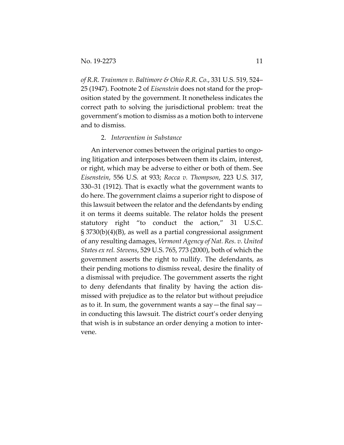*of R.R. Trainmen v. Baltimore & Ohio R.R. Co.*, 331 U.S. 519, 524– 25 (1947). Footnote 2 of *Eisenstein* does not stand for the proposition stated by the government. It nonetheless indicates the correct path to solving the jurisdictional problem: treat the government's motion to dismiss as a motion both to intervene and to dismiss.

#### 2. *Intervention in Substance*

An intervenor comes between the original parties to ongoing litigation and interposes between them its claim, interest, or right, which may be adverse to either or both of them. See *Eisenstein*, 556 U.S. at 933; *Rocca v. Thompson*, 223 U.S. 317, 330–31 (1912). That is exactly what the government wants to do here. The government claims a superior right to dispose of this lawsuit between the relator and the defendants by ending it on terms it deems suitable. The relator holds the present statutory right "to conduct the action," 31 U.S.C. § 3730(b)(4)(B), as well as a partial congressional assignment of any resulting damages, *Vermont Agency of Nat. Res. v. United States ex rel. Stevens*, 529 U.S. 765, 773 (2000), both of which the government asserts the right to nullify. The defendants, as their pending motions to dismiss reveal, desire the finality of a dismissal with prejudice. The government asserts the right to deny defendants that finality by having the action dismissed with prejudice as to the relator but without prejudice as to it. In sum, the government wants a say—the final say in conducting this lawsuit. The district court's order denying that wish is in substance an order denying a motion to intervene.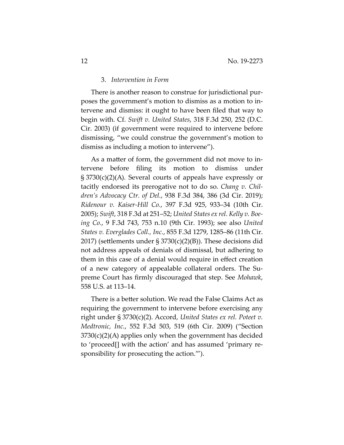#### 3. *Intervention in Form*

There is another reason to construe for jurisdictional purposes the government's motion to dismiss as a motion to intervene and dismiss: it ought to have been filed that way to begin with. Cf. *Swift v. United States*, 318 F.3d 250, 252 (D.C. Cir. 2003) (if government were required to intervene before dismissing, "we could construe the government's motion to dismiss as including a motion to intervene").

As a matter of form, the government did not move to intervene before filing its motion to dismiss under § 3730(c)(2)(A). Several courts of appeals have expressly or tacitly endorsed its prerogative not to do so. *Chang v. Children's Advocacy Ctr. of Del.*, 938 F.3d 384, 386 (3d Cir. 2019); *Ridenour v. Kaiser-Hill Co.*, 397 F.3d 925, 933–34 (10th Cir. 2005); *Swift*, 318 F.3d at 251–52; *United States ex rel. Kelly v. Boeing Co.*, 9 F.3d 743, 753 n.10 (9th Cir. 1993); see also *United States v. Everglades Coll., Inc.*, 855 F.3d 1279, 1285–86 (11th Cir. 2017) (settlements under § 3730(c)(2)(B)). These decisions did not address appeals of denials of dismissal, but adhering to them in this case of a denial would require in effect creation of a new category of appealable collateral orders. The Supreme Court has firmly discouraged that step. See *Mohawk*, 558 U.S. at 113–14.

There is a better solution. We read the False Claims Act as requiring the government to intervene before exercising any right under § 3730(c)(2). Accord, *United States ex rel. Poteet v. Medtronic, Inc.*, 552 F.3d 503, 519 (6th Cir. 2009) ("Section  $3730(c)(2)(A)$  applies only when the government has decided to 'proceed[] with the action' and has assumed 'primary responsibility for prosecuting the action.'").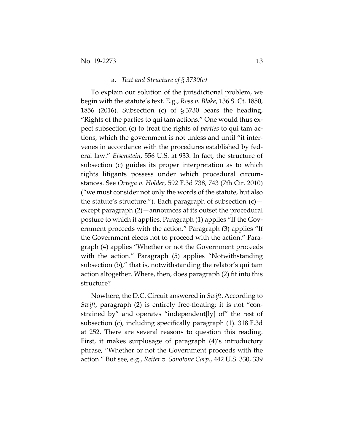#### a. *Text and Structure of § 3730(c)*

To explain our solution of the jurisdictional problem, we begin with the statute's text. E.g., *Ross v. Blake*, 136 S. Ct. 1850, 1856 (2016). Subsection (c) of § 3730 bears the heading, "Rights of the parties to qui tam actions." One would thus expect subsection (c) to treat the rights of *parties* to qui tam actions, which the government is not unless and until "it intervenes in accordance with the procedures established by federal law." *Eisenstein*, 556 U.S. at 933. In fact, the structure of subsection (c) guides its proper interpretation as to which rights litigants possess under which procedural circumstances. See *Ortega v. Holder*, 592 F.3d 738, 743 (7th Cir. 2010) ("we must consider not only the words of the statute, but also the statute's structure."). Each paragraph of subsection  $(c)$  except paragraph (2)—announces at its outset the procedural posture to which it applies. Paragraph (1) applies "If the Government proceeds with the action." Paragraph (3) applies "If the Government elects not to proceed with the action." Paragraph (4) applies "Whether or not the Government proceeds with the action." Paragraph (5) applies "Notwithstanding subsection (b)," that is, notwithstanding the relator's qui tam action altogether. Where, then, does paragraph (2) fit into this structure?

Nowhere, the D.C. Circuit answered in *Swift*. According to *Swift*, paragraph (2) is entirely free-floating; it is not "constrained by" and operates "independent[ly] of" the rest of subsection (c), including specifically paragraph (1). 318 F.3d at 252. There are several reasons to question this reading. First, it makes surplusage of paragraph (4)'s introductory phrase, "Whether or not the Government proceeds with the action." But see, e.g., *Reiter v. Sonotone Corp.*, 442 U.S. 330, 339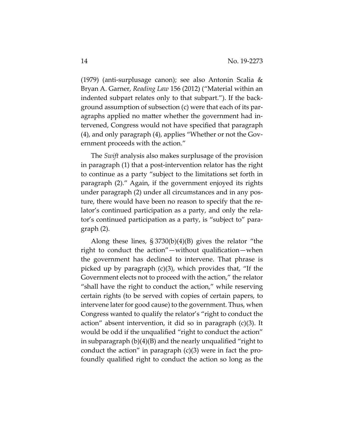(1979) (anti-surplusage canon); see also Antonin Scalia & Bryan A. Garner, *Reading Law* 156 (2012) ("Material within an indented subpart relates only to that subpart."). If the background assumption of subsection (c) were that each of its paragraphs applied no matter whether the government had intervened, Congress would not have specified that paragraph (4), and only paragraph (4), applies "Whether or not the Government proceeds with the action."

The *Swift* analysis also makes surplusage of the provision in paragraph (1) that a post-intervention relator has the right to continue as a party "subject to the limitations set forth in paragraph (2)." Again, if the government enjoyed its rights under paragraph (2) under all circumstances and in any posture, there would have been no reason to specify that the relator's continued participation as a party, and only the relator's continued participation as a party, is "subject to" paragraph (2).

Along these lines, § 3730(b)(4)(B) gives the relator "the right to conduct the action"—without qualification—when the government has declined to intervene. That phrase is picked up by paragraph (c)(3), which provides that, "If the Government elects not to proceed with the action," the relator "shall have the right to conduct the action," while reserving certain rights (to be served with copies of certain papers, to intervene later for good cause) to the government. Thus, when Congress wanted to qualify the relator's "right to conduct the action" absent intervention, it did so in paragraph (c)(3). It would be odd if the unqualified "right to conduct the action" in subparagraph (b)(4)(B) and the nearly unqualified "right to conduct the action" in paragraph  $(c)(3)$  were in fact the profoundly qualified right to conduct the action so long as the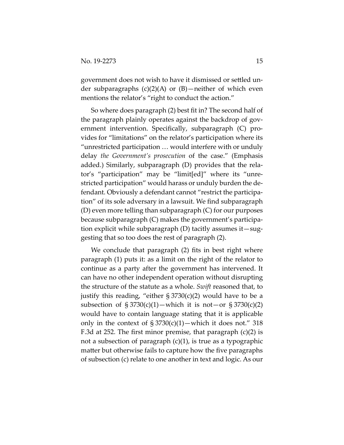government does not wish to have it dismissed or settled under subparagraphs (c)(2)(A) or (B)—neither of which even mentions the relator's "right to conduct the action."

So where does paragraph (2) best fit in? The second half of the paragraph plainly operates against the backdrop of government intervention. Specifically, subparagraph (C) provides for "limitations" on the relator's participation where its "unrestricted participation … would interfere with or unduly delay *the Government's prosecution* of the case." (Emphasis added.) Similarly, subparagraph (D) provides that the relator's "participation" may be "limit[ed]" where its "unrestricted participation" would harass or unduly burden the defendant. Obviously a defendant cannot "restrict the participation" of its sole adversary in a lawsuit. We find subparagraph (D) even more telling than subparagraph (C) for our purposes because subparagraph (C) makes the government's participation explicit while subparagraph (D) tacitly assumes it—suggesting that so too does the rest of paragraph (2).

We conclude that paragraph (2) fits in best right where paragraph (1) puts it: as a limit on the right of the relator to continue as a party after the government has intervened. It can have no other independent operation without disrupting the structure of the statute as a whole. *Swift* reasoned that, to justify this reading, "either  $\S 3730(c)(2)$  would have to be a subsection of  $\S 3730(c)(1)$ —which it is not—or  $\S 3730(c)(2)$ would have to contain language stating that it is applicable only in the context of  $\S 3730(c)(1)$ —which it does not." 318 F.3d at 252. The first minor premise, that paragraph (c)(2) is not a subsection of paragraph (c)(1), is true as a typographic matter but otherwise fails to capture how the five paragraphs of subsection (c) relate to one another in text and logic. As our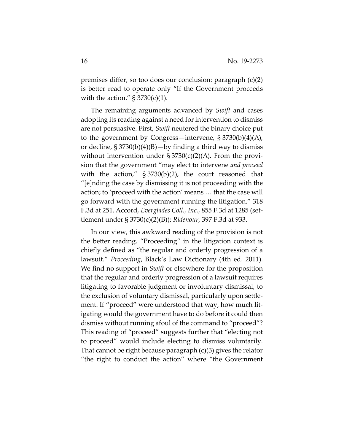premises differ, so too does our conclusion: paragraph (c)(2) is better read to operate only "If the Government proceeds with the action."  $\S 3730(c)(1)$ .

The remaining arguments advanced by *Swift* and cases adopting its reading against a need for intervention to dismiss are not persuasive. First, *Swift* neutered the binary choice put to the government by Congress—intervene,  $\S 3730(b)(4)(A)$ , or decline,  $\S 3730(b)(4)(B) - by finding a third way to dismiss$ without intervention under  $\S 3730(c)(2)(A)$ . From the provision that the government "may elect to intervene *and proceed* with the action," § 3730(b)(2), the court reasoned that "[e]nding the case by dismissing it is not proceeding with the action; to 'proceed with the action' means … that the case will go forward with the government running the litigation." 318 F.3d at 251. Accord, *Everglades Coll., Inc.*, 855 F.3d at 1285 (settlement under § 3730(c)(2)(B)); *Ridenour*, 397 F.3d at 933.

In our view, this awkward reading of the provision is not the better reading. "Proceeding" in the litigation context is chiefly defined as "the regular and orderly progression of a lawsuit." *Proceeding*, Black's Law Dictionary (4th ed. 2011). We find no support in *Swift* or elsewhere for the proposition that the regular and orderly progression of a lawsuit requires litigating to favorable judgment or involuntary dismissal, to the exclusion of voluntary dismissal, particularly upon settlement. If "proceed" were understood that way, how much litigating would the government have to do before it could then dismiss without running afoul of the command to "proceed"? This reading of "proceed" suggests further that "electing not to proceed" would include electing to dismiss voluntarily. That cannot be right because paragraph (c)(3) gives the relator "the right to conduct the action" where "the Government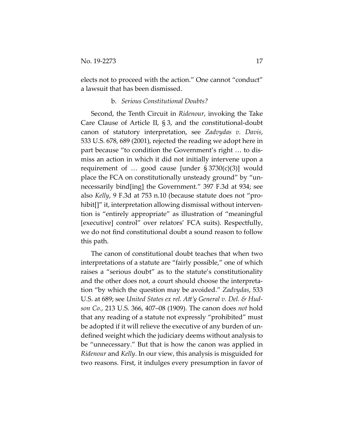elects not to proceed with the action." One cannot "conduct" a lawsuit that has been dismissed.

## b. *Serious Constitutional Doubts?*

Second, the Tenth Circuit in *Ridenour*, invoking the Take Care Clause of Article II, § 3, and the constitutional-doubt canon of statutory interpretation, see *Zadvydas v. Davis*, 533 U.S. 678, 689 (2001), rejected the reading we adopt here in part because "to condition the Government's right … to dismiss an action in which it did not initially intervene upon a requirement of  $\ldots$  good cause [under § 3730(c)(3)] would place the FCA on constitutionally unsteady ground" by "unnecessarily bind[ing] the Government." 397 F.3d at 934; see also *Kelly*, 9 F.3d at 753 n.10 (because statute does not "prohibit[]" it, interpretation allowing dismissal without intervention is "entirely appropriate" as illustration of "meaningful [executive] control" over relators' FCA suits). Respectfully, we do not find constitutional doubt a sound reason to follow this path.

The canon of constitutional doubt teaches that when two interpretations of a statute are "fairly possible," one of which raises a "serious doubt" as to the statute's constitutionality and the other does not, a court should choose the interpretation "by which the question may be avoided." *Zadvydas*, 533 U.S. at 689; see *United States ex rel. Att'y General v. Del. & Hudson Co.*, 213 U.S. 366, 407–08 (1909). The canon does *not* hold that any reading of a statute not expressly "prohibited" must be adopted if it will relieve the executive of any burden of undefined weight which the judiciary deems without analysis to be "unnecessary." But that is how the canon was applied in *Ridenour* and *Kelly*. In our view, this analysis is misguided for two reasons. First, it indulges every presumption in favor of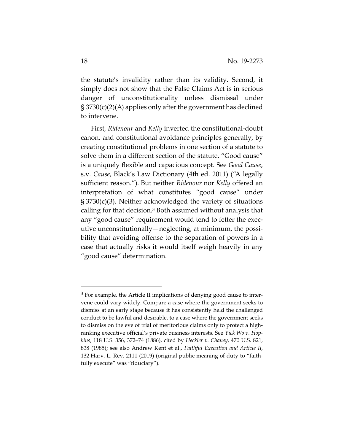the statute's invalidity rather than its validity. Second, it simply does not show that the False Claims Act is in serious danger of unconstitutionality unless dismissal under § 3730(c)(2)(A) applies only after the government has declined to intervene.

First, *Ridenour* and *Kelly* inverted the constitutional-doubt canon, and constitutional avoidance principles generally, by creating constitutional problems in one section of a statute to solve them in a different section of the statute. "Good cause" is a uniquely flexible and capacious concept. See *Good Cause*, s.v. *Cause*, Black's Law Dictionary (4th ed. 2011) ("A legally sufficient reason."). But neither *Ridenour* nor *Kelly* offered an interpretation of what constitutes "good cause" under § 3730(c)(3). Neither acknowledged the variety of situations calling for that decision.3 Both assumed without analysis that any "good cause" requirement would tend to fetter the executive unconstitutionally—neglecting, at minimum, the possibility that avoiding offense to the separation of powers in a case that actually risks it would itself weigh heavily in any "good cause" determination.

 $3$  For example, the Article II implications of denying good cause to intervene could vary widely. Compare a case where the government seeks to dismiss at an early stage because it has consistently held the challenged conduct to be lawful and desirable, to a case where the government seeks to dismiss on the eve of trial of meritorious claims only to protect a highranking executive official's private business interests. See *Yick Wo v. Hopkins*, 118 U.S. 356, 372–74 (1886), cited by *Heckler v. Chaney*, 470 U.S. 821, 838 (1985); see also Andrew Kent et al., *Faithful Execution and Article II*, 132 Harv. L. Rev. 2111 (2019) (original public meaning of duty to "faithfully execute" was "fiduciary").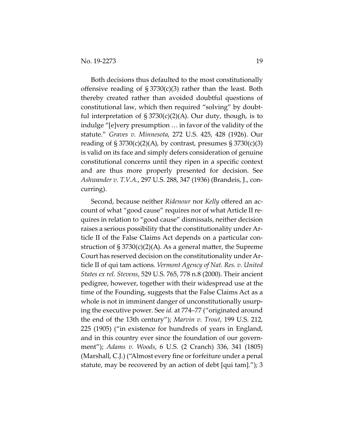Both decisions thus defaulted to the most constitutionally offensive reading of  $\S 3730(c)(3)$  rather than the least. Both thereby created rather than avoided doubtful questions of constitutional law, which then required "solving" by doubtful interpretation of  $\S 3730(c)(2)(A)$ . Our duty, though, is to indulge "[e]very presumption … in favor of the validity of the statute." *Graves v. Minnesota*, 272 U.S. 425, 428 (1926). Our reading of  $\S 3730(c)(2)(A)$ , by contrast, presumes  $\S 3730(c)(3)$ is valid on its face and simply defers consideration of genuine constitutional concerns until they ripen in a specific context and are thus more properly presented for decision. See *Ashwander v. T.V.A.*, 297 U.S. 288, 347 (1936) (Brandeis, J., concurring).

Second, because neither *Ridenour* nor *Kelly* offered an account of what "good cause" requires nor of what Article II requires in relation to "good cause" dismissals, neither decision raises a serious possibility that the constitutionality under Article II of the False Claims Act depends on a particular construction of  $\S 3730(c)(2)(A)$ . As a general matter, the Supreme Court has reserved decision on the constitutionality under Article II of qui tam actions. *Vermont Agency of Nat. Res. v. United States ex rel. Stevens*, 529 U.S. 765, 778 n.8 (2000). Their ancient pedigree, however, together with their widespread use at the time of the Founding, suggests that the False Claims Act as a whole is not in imminent danger of unconstitutionally usurping the executive power. See *id.* at 774–77 ("originated around the end of the 13th century"); *Marvin v. Trout*, 199 U.S. 212, 225 (1905) ("in existence for hundreds of years in England, and in this country ever since the foundation of our government"); *Adams v. Woods*, 6 U.S. (2 Cranch) 336, 341 (1805) (Marshall, C.J.) ("Almost every fine or forfeiture under a penal statute, may be recovered by an action of debt [qui tam]."); 3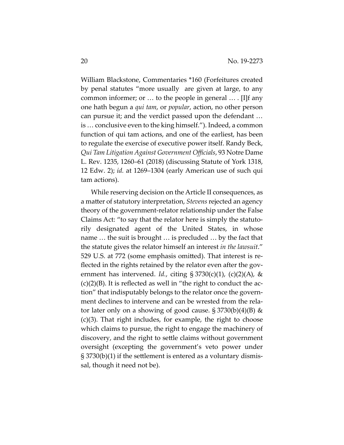William Blackstone, Commentaries \*160 (Forfeitures created by penal statutes "more usually are given at large, to any common informer; or … to the people in general … . [I]f any one hath begun a *qui tam*, or *popular*, action, no other person can pursue it; and the verdict passed upon the defendant … is … conclusive even to the king himself."). Indeed, a common function of qui tam actions, and one of the earliest, has been to regulate the exercise of executive power itself. Randy Beck, *Qui Tam Litigation Against Government Officials*, 93 Notre Dame L. Rev. 1235, 1260–61 (2018) (discussing Statute of York 1318, 12 Edw. 2); *id.* at 1269–1304 (early American use of such qui tam actions).

While reserving decision on the Article II consequences, as a matter of statutory interpretation, *Stevens* rejected an agency theory of the government-relator relationship under the False Claims Act: "to say that the relator here is simply the statutorily designated agent of the United States, in whose name … the suit is brought … is precluded … by the fact that the statute gives the relator himself an interest *in the lawsuit*." 529 U.S. at 772 (some emphasis omitted). That interest is reflected in the rights retained by the relator even after the government has intervened. *Id.*, citing  $\S 3730(c)(1)$ , (c)(2)(A), &  $(c)(2)(B)$ . It is reflected as well in "the right to conduct the action" that indisputably belongs to the relator once the government declines to intervene and can be wrested from the relator later only on a showing of good cause.  $\S 3730(b)(4)(B)$  & (c)(3). That right includes, for example, the right to choose which claims to pursue, the right to engage the machinery of discovery, and the right to settle claims without government oversight (excepting the government's veto power under § 3730(b)(1) if the settlement is entered as a voluntary dismissal, though it need not be).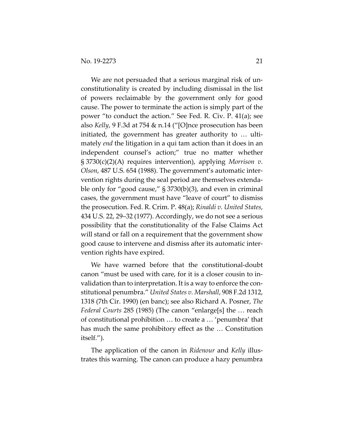We are not persuaded that a serious marginal risk of unconstitutionality is created by including dismissal in the list of powers reclaimable by the government only for good cause. The power to terminate the action is simply part of the power "to conduct the action." See Fed. R. Civ. P. 41(a); see also *Kelly*, 9 F.3d at 754 & n.14 ("[O]nce prosecution has been initiated, the government has greater authority to … ultimately *end* the litigation in a qui tam action than it does in an independent counsel's action;" true no matter whether § 3730(c)(2)(A) requires intervention), applying *Morrison v. Olson*, 487 U.S. 654 (1988). The government's automatic intervention rights during the seal period are themselves extendable only for "good cause," § 3730(b)(3), and even in criminal cases, the government must have "leave of court" to dismiss the prosecution. Fed. R. Crim. P. 48(a); *Rinaldi v. United States*, 434 U.S. 22, 29–32 (1977). Accordingly, we do not see a serious possibility that the constitutionality of the False Claims Act will stand or fall on a requirement that the government show good cause to intervene and dismiss after its automatic intervention rights have expired.

We have warned before that the constitutional-doubt canon "must be used with care, for it is a closer cousin to invalidation than to interpretation. It is a way to enforce the constitutional penumbra." *United States v. Marshall*, 908 F.2d 1312, 1318 (7th Cir. 1990) (en banc); see also Richard A. Posner, *The Federal Courts* 285 (1985) (The canon "enlarge[s] the … reach of constitutional prohibition … to create a … 'penumbra' that has much the same prohibitory effect as the … Constitution itself.").

The application of the canon in *Ridenour* and *Kelly* illustrates this warning. The canon can produce a hazy penumbra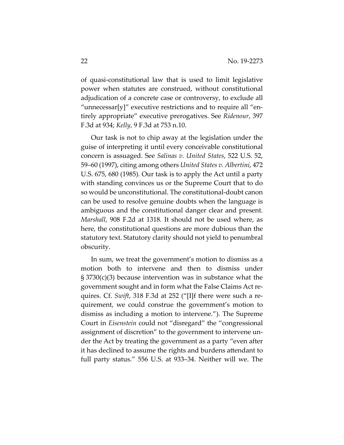of quasi-constitutional law that is used to limit legislative power when statutes are construed, without constitutional adjudication of a concrete case or controversy, to exclude all "unnecessar[y]" executive restrictions and to require all "entirely appropriate" executive prerogatives. See *Ridenour*, 397 F.3d at 934; *Kelly*, 9 F.3d at 753 n.10.

Our task is not to chip away at the legislation under the guise of interpreting it until every conceivable constitutional concern is assuaged. See *Salinas v. United States*, 522 U.S. 52, 59–60 (1997), citing among others *United States v. Albertini*, 472 U.S. 675, 680 (1985). Our task is to apply the Act until a party with standing convinces us or the Supreme Court that to do so would be unconstitutional. The constitutional-doubt canon can be used to resolve genuine doubts when the language is ambiguous and the constitutional danger clear and present. *Marshall*, 908 F.2d at 1318. It should not be used where, as here, the constitutional questions are more dubious than the statutory text. Statutory clarity should not yield to penumbral obscurity.

In sum, we treat the government's motion to dismiss as a motion both to intervene and then to dismiss under § 3730(c)(3) because intervention was in substance what the government sought and in form what the False Claims Act requires. Cf. *Swift*, 318 F.3d at 252 ("[I]f there were such a requirement, we could construe the government's motion to dismiss as including a motion to intervene."). The Supreme Court in *Eisenstein* could not "disregard" the "congressional assignment of discretion" to the government to intervene under the Act by treating the government as a party "even after it has declined to assume the rights and burdens attendant to full party status." 556 U.S. at 933–34. Neither will we. The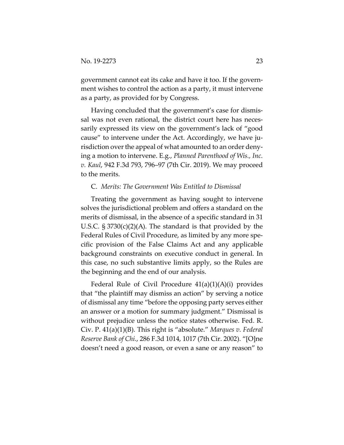government cannot eat its cake and have it too. If the government wishes to control the action as a party, it must intervene as a party, as provided for by Congress.

Having concluded that the government's case for dismissal was not even rational, the district court here has necessarily expressed its view on the government's lack of "good cause" to intervene under the Act. Accordingly, we have jurisdiction over the appeal of what amounted to an order denying a motion to intervene. E.g., *Planned Parenthood of Wis., Inc. v. Kaul*, 942 F.3d 793, 796–97 (7th Cir. 2019). We may proceed to the merits.

## C. *Merits: The Government Was Entitled to Dismissal*

Treating the government as having sought to intervene solves the jurisdictional problem and offers a standard on the merits of dismissal, in the absence of a specific standard in 31 U.S.C.  $\S 3730(c)(2)(A)$ . The standard is that provided by the Federal Rules of Civil Procedure, as limited by any more specific provision of the False Claims Act and any applicable background constraints on executive conduct in general. In this case, no such substantive limits apply, so the Rules are the beginning and the end of our analysis.

Federal Rule of Civil Procedure  $41(a)(1)(A)(i)$  provides that "the plaintiff may dismiss an action" by serving a notice of dismissal any time "before the opposing party serves either an answer or a motion for summary judgment." Dismissal is without prejudice unless the notice states otherwise. Fed. R. Civ. P. 41(a)(1)(B). This right is "absolute." *Marques v. Federal Reserve Bank of Chi.*, 286 F.3d 1014, 1017 (7th Cir. 2002). "[O]ne doesn't need a good reason, or even a sane or any reason" to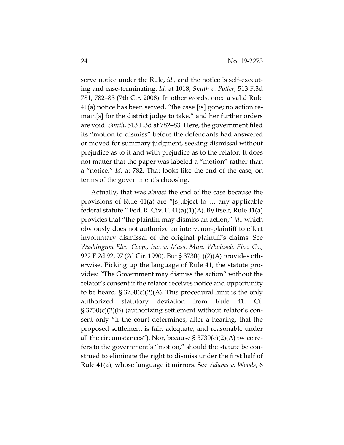serve notice under the Rule, *id.*, and the notice is self-executing and case-terminating. *Id.* at 1018; *Smith v. Potter*, 513 F.3d 781, 782–83 (7th Cir. 2008). In other words, once a valid Rule 41(a) notice has been served, "the case [is] gone; no action remain[s] for the district judge to take," and her further orders are void. *Smith*, 513 F.3d at 782–83. Here, the government filed its "motion to dismiss" before the defendants had answered or moved for summary judgment, seeking dismissal without prejudice as to it and with prejudice as to the relator. It does not matter that the paper was labeled a "motion" rather than a "notice." *Id.* at 782. That looks like the end of the case, on terms of the government's choosing.

Actually, that was *almost* the end of the case because the provisions of Rule 41(a) are "[s]ubject to … any applicable federal statute." Fed. R. Civ. P. 41(a)(1)(A). By itself, Rule 41(a) provides that "the plaintiff may dismiss an action," *id.*, which obviously does not authorize an intervenor-plaintiff to effect involuntary dismissal of the original plaintiff's claims. See *Washington Elec. Coop., Inc. v. Mass. Mun. Wholesale Elec. Co.*, 922 F.2d 92, 97 (2d Cir. 1990). But § 3730(c)(2)(A) provides otherwise. Picking up the language of Rule 41, the statute provides: "The Government may dismiss the action" without the relator's consent if the relator receives notice and opportunity to be heard.  $\S 3730(c)(2)(A)$ . This procedural limit is the only authorized statutory deviation from Rule 41. Cf. § 3730(c)(2)(B) (authorizing settlement without relator's consent only "if the court determines, after a hearing, that the proposed settlement is fair, adequate, and reasonable under all the circumstances"). Nor, because  $\S 3730(c)(2)(A)$  twice refers to the government's "motion," should the statute be construed to eliminate the right to dismiss under the first half of Rule 41(a), whose language it mirrors. See *Adams v. Woods*, 6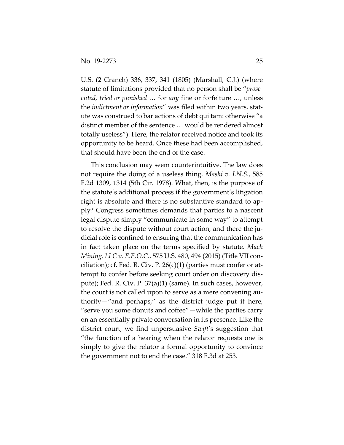U.S. (2 Cranch) 336, 337, 341 (1805) (Marshall, C.J.) (where statute of limitations provided that no person shall be "*prosecuted, tried or punished* … for *any* fine or forfeiture …, unless the *indictment or information*" was filed within two years, statute was construed to bar actions of debt qui tam: otherwise "a distinct member of the sentence … would be rendered almost totally useless"). Here, the relator received notice and took its opportunity to be heard. Once these had been accomplished, that should have been the end of the case.

This conclusion may seem counterintuitive. The law does not require the doing of a useless thing. *Mashi v. I.N.S.*, 585 F.2d 1309, 1314 (5th Cir. 1978). What, then, is the purpose of the statute's additional process if the government's litigation right is absolute and there is no substantive standard to apply? Congress sometimes demands that parties to a nascent legal dispute simply "communicate in some way" to attempt to resolve the dispute without court action, and there the judicial role is confined to ensuring that the communication has in fact taken place on the terms specified by statute. *Mach Mining, LLC v. E.E.O.C.*, 575 U.S. 480, 494 (2015) (Title VII conciliation); cf. Fed. R. Civ. P.  $26(c)(1)$  (parties must confer or attempt to confer before seeking court order on discovery dispute); Fed. R. Civ. P. 37(a)(1) (same). In such cases, however, the court is not called upon to serve as a mere convening authority—"and perhaps," as the district judge put it here, "serve you some donuts and coffee"—while the parties carry on an essentially private conversation in its presence. Like the district court, we find unpersuasive *Swift*'s suggestion that "the function of a hearing when the relator requests one is simply to give the relator a formal opportunity to convince the government not to end the case." 318 F.3d at 253.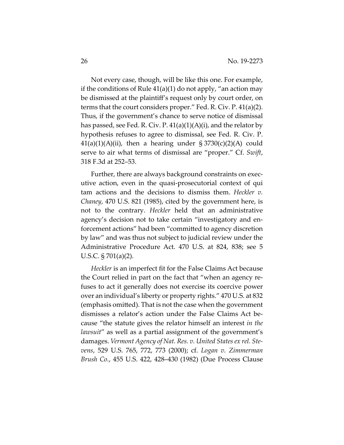Not every case, though, will be like this one. For example, if the conditions of Rule  $41(a)(1)$  do not apply, "an action may be dismissed at the plaintiff's request only by court order, on terms that the court considers proper." Fed. R. Civ. P. 41(a)(2). Thus, if the government's chance to serve notice of dismissal has passed, see Fed. R. Civ. P.  $41(a)(1)(A)(i)$ , and the relator by hypothesis refuses to agree to dismissal, see Fed. R. Civ. P.  $41(a)(1)(A)(ii)$ , then a hearing under  $\S 3730(c)(2)(A)$  could serve to air what terms of dismissal are "proper." Cf. *Swift*, 318 F.3d at 252–53.

Further, there are always background constraints on executive action, even in the quasi-prosecutorial context of qui tam actions and the decisions to dismiss them. *Heckler v. Chaney*, 470 U.S. 821 (1985), cited by the government here, is not to the contrary. *Heckler* held that an administrative agency's decision not to take certain "investigatory and enforcement actions" had been "committed to agency discretion by law" and was thus not subject to judicial review under the Administrative Procedure Act. 470 U.S. at 824, 838; see 5 U.S.C. § 701(a)(2).

*Heckler* is an imperfect fit for the False Claims Act because the Court relied in part on the fact that "when an agency refuses to act it generally does not exercise its coercive power over an individual's liberty or property rights." 470 U.S. at 832 (emphasis omitted). That is not the case when the government dismisses a relator's action under the False Claims Act because "the statute gives the relator himself an interest *in the lawsuit*" as well as a partial assignment of the government's damages. *Vermont Agency of Nat. Res. v. United States ex rel. Stevens*, 529 U.S. 765, 772, 773 (2000); cf. *Logan v. Zimmerman Brush Co.*, 455 U.S. 422, 428–430 (1982) (Due Process Clause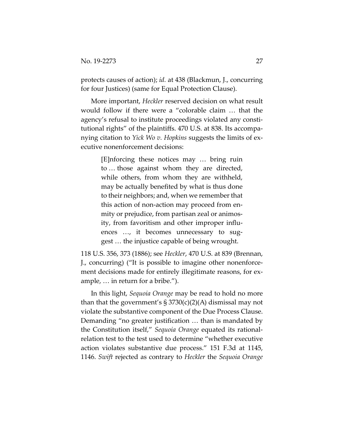protects causes of action); *id.* at 438 (Blackmun, J., concurring for four Justices) (same for Equal Protection Clause).

More important, *Heckler* reserved decision on what result would follow if there were a "colorable claim … that the agency's refusal to institute proceedings violated any constitutional rights" of the plaintiffs. 470 U.S. at 838. Its accompanying citation to *Yick Wo v. Hopkins* suggests the limits of executive nonenforcement decisions:

> [E]nforcing these notices may … bring ruin to … those against whom they are directed, while others, from whom they are withheld, may be actually benefited by what is thus done to their neighbors; and, when we remember that this action of non-action may proceed from enmity or prejudice, from partisan zeal or animosity, from favoritism and other improper influences …, it becomes unnecessary to suggest … the injustice capable of being wrought.

118 U.S. 356, 373 (1886); see *Heckler*, 470 U.S. at 839 (Brennan, J., concurring) ("It is possible to imagine other nonenforcement decisions made for entirely illegitimate reasons, for example, … in return for a bribe.").

In this light, *Sequoia Orange* may be read to hold no more than that the government's  $\S 3730(c)(2)(A)$  dismissal may not violate the substantive component of the Due Process Clause. Demanding "no greater justification … than is mandated by the Constitution itself," *Sequoia Orange* equated its rationalrelation test to the test used to determine "whether executive action violates substantive due process." 151 F.3d at 1145, 1146. *Swift* rejected as contrary to *Heckler* the *Sequoia Orange*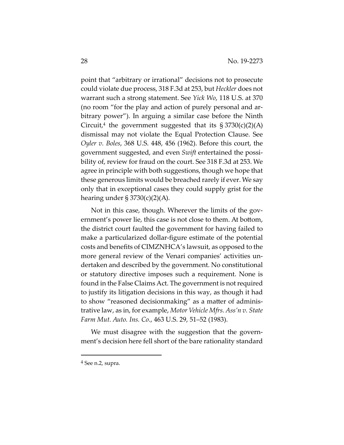point that "arbitrary or irrational" decisions not to prosecute could violate due process, 318 F.3d at 253, but *Heckler* does not warrant such a strong statement. See *Yick Wo*, 118 U.S. at 370 (no room "for the play and action of purely personal and arbitrary power"). In arguing a similar case before the Ninth Circuit,<sup>4</sup> the government suggested that its  $\S 3730(c)(2)(A)$ dismissal may not violate the Equal Protection Clause. See *Oyler v. Boles*, 368 U.S. 448, 456 (1962). Before this court, the government suggested, and even *Swift* entertained the possibility of, review for fraud on the court. See 318 F.3d at 253. We agree in principle with both suggestions, though we hope that these generous limits would be breached rarely if ever. We say only that in exceptional cases they could supply grist for the hearing under  $\S 3730(c)(2)(A)$ .

Not in this case, though. Wherever the limits of the government's power lie, this case is not close to them. At bottom, the district court faulted the government for having failed to make a particularized dollar-figure estimate of the potential costs and benefits of CIMZNHCA's lawsuit, as opposed to the more general review of the Venari companies' activities undertaken and described by the government. No constitutional or statutory directive imposes such a requirement. None is found in the False Claims Act. The government is not required to justify its litigation decisions in this way, as though it had to show "reasoned decisionmaking" as a matter of administrative law, as in, for example, *Motor Vehicle Mfrs. Ass'n v. State Farm Mut. Auto. Ins. Co.*, 463 U.S. 29, 51–52 (1983).

We must disagree with the suggestion that the government's decision here fell short of the bare rationality standard

<sup>4</sup> See n.2, supra.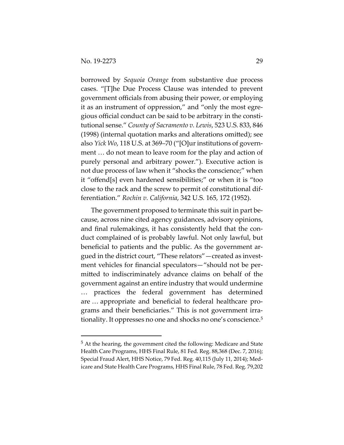borrowed by *Sequoia Orange* from substantive due process cases. "[T]he Due Process Clause was intended to prevent government officials from abusing their power, or employing it as an instrument of oppression," and "only the most egregious official conduct can be said to be arbitrary in the constitutional sense." *County of Sacramento v. Lewis*, 523 U.S. 833, 846 (1998) (internal quotation marks and alterations omitted); see also *Yick Wo*, 118 U.S. at 369–70 ("[O]ur institutions of government … do not mean to leave room for the play and action of purely personal and arbitrary power."). Executive action is not due process of law when it "shocks the conscience;" when it "offend[s] even hardened sensibilities;" or when it is "too close to the rack and the screw to permit of constitutional differentiation." *Rochin v. California*, 342 U.S. 165, 172 (1952).

The government proposed to terminate this suit in part because, across nine cited agency guidances, advisory opinions, and final rulemakings, it has consistently held that the conduct complained of is probably lawful. Not only lawful, but beneficial to patients and the public. As the government argued in the district court, "These relators"—created as investment vehicles for financial speculators—"should not be permitted to indiscriminately advance claims on behalf of the government against an entire industry that would undermine … practices the federal government has determined are … appropriate and beneficial to federal healthcare programs and their beneficiaries." This is not government irrationality. It oppresses no one and shocks no one's conscience.<sup>5</sup>

<sup>5</sup> At the hearing, the government cited the following: Medicare and State Health Care Programs, HHS Final Rule, 81 Fed. Reg. 88,368 (Dec. 7, 2016); Special Fraud Alert, HHS Notice, 79 Fed. Reg. 40,115 (July 11, 2014); Medicare and State Health Care Programs, HHS Final Rule, 78 Fed. Reg. 79,202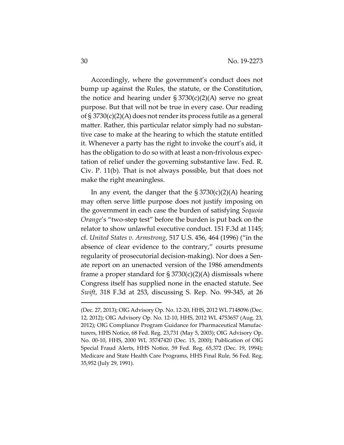Accordingly, where the government's conduct does not bump up against the Rules, the statute, or the Constitution, the notice and hearing under  $\S 3730(c)(2)(A)$  serve no great purpose. But that will not be true in every case. Our reading of § 3730(c)(2)(A) does not render its process futile as a general matter. Rather, this particular relator simply had no substantive case to make at the hearing to which the statute entitled it. Whenever a party has the right to invoke the court's aid, it has the obligation to do so with at least a non-frivolous expectation of relief under the governing substantive law. Fed. R. Civ. P. 11(b). That is not always possible, but that does not make the right meaningless.

In any event, the danger that the  $\S 3730(c)(2)(A)$  hearing may often serve little purpose does not justify imposing on the government in each case the burden of satisfying *Sequoia Orange*'s "two-step test" before the burden is put back on the relator to show unlawful executive conduct. 151 F.3d at 1145; cf. *United States v. Armstrong*, 517 U.S. 456, 464 (1996) ("in the absence of clear evidence to the contrary," courts presume regularity of prosecutorial decision-making). Nor does a Senate report on an unenacted version of the 1986 amendments frame a proper standard for  $\S 3730(c)(2)(A)$  dismissals where Congress itself has supplied none in the enacted statute. See *Swift*, 318 F.3d at 253, discussing S. Rep. No. 99-345, at 26

<sup>(</sup>Dec. 27, 2013); OIG Advisory Op. No. 12-20, HHS, 2012 WL 7148096 (Dec. 12, 2012); OIG Advisory Op. No. 12-10, HHS, 2012 WL 4753657 (Aug. 23, 2012); OIG Compliance Program Guidance for Pharmaceutical Manufacturers, HHS Notice, 68 Fed. Reg. 23,731 (May 5, 2003); OIG Advisory Op. No. 00-10, HHS, 2000 WL 35747420 (Dec. 15, 2000); Publication of OIG Special Fraud Alerts, HHS Notice, 59 Fed. Reg. 65,372 (Dec. 19, 1994); Medicare and State Health Care Programs, HHS Final Rule, 56 Fed. Reg. 35,952 (July 29, 1991).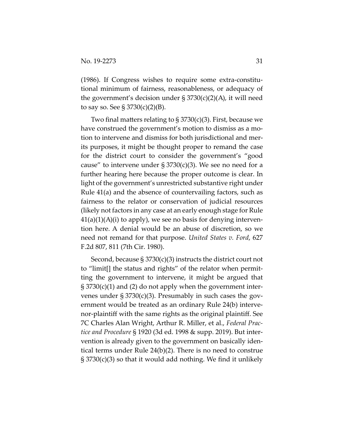(1986). If Congress wishes to require some extra-constitutional minimum of fairness, reasonableness, or adequacy of the government's decision under  $\S 3730(c)(2)(A)$ , it will need to say so. See  $\S 3730(c)(2)(B)$ .

Two final matters relating to  $\S 3730(c)(3)$ . First, because we have construed the government's motion to dismiss as a motion to intervene and dismiss for both jurisdictional and merits purposes, it might be thought proper to remand the case for the district court to consider the government's "good cause" to intervene under  $\S 3730(c)(3)$ . We see no need for a further hearing here because the proper outcome is clear. In light of the government's unrestricted substantive right under Rule 41(a) and the absence of countervailing factors, such as fairness to the relator or conservation of judicial resources (likely not factors in any case at an early enough stage for Rule  $41(a)(1)(A)(i)$  to apply), we see no basis for denying intervention here. A denial would be an abuse of discretion, so we need not remand for that purpose. *United States v. Ford*, 627 F.2d 807, 811 (7th Cir. 1980).

Second, because § 3730(c)(3) instructs the district court not to "limit[] the status and rights" of the relator when permitting the government to intervene, it might be argued that  $\S 3730(c)(1)$  and (2) do not apply when the government intervenes under  $\S 3730(c)(3)$ . Presumably in such cases the government would be treated as an ordinary Rule 24(b) intervenor-plaintiff with the same rights as the original plaintiff. See 7C Charles Alan Wright, Arthur R. Miller, et al., *Federal Practice and Procedure* § 1920 (3d ed. 1998 & supp. 2019). But intervention is already given to the government on basically identical terms under Rule 24(b)(2). There is no need to construe § 3730(c)(3) so that it would add nothing. We find it unlikely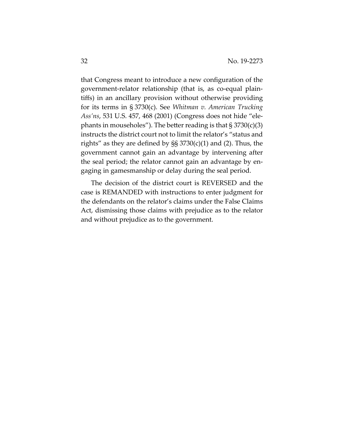that Congress meant to introduce a new configuration of the government-relator relationship (that is, as co-equal plaintiffs) in an ancillary provision without otherwise providing for its terms in § 3730(c). See *Whitman v. American Trucking Ass'ns*, 531 U.S. 457, 468 (2001) (Congress does not hide "elephants in mouseholes"). The better reading is that  $\S 3730(c)(3)$ instructs the district court not to limit the relator's "status and rights" as they are defined by  $\S$ § 3730(c)(1) and (2). Thus, the government cannot gain an advantage by intervening after the seal period; the relator cannot gain an advantage by engaging in gamesmanship or delay during the seal period.

The decision of the district court is REVERSED and the case is REMANDED with instructions to enter judgment for the defendants on the relator's claims under the False Claims Act, dismissing those claims with prejudice as to the relator and without prejudice as to the government.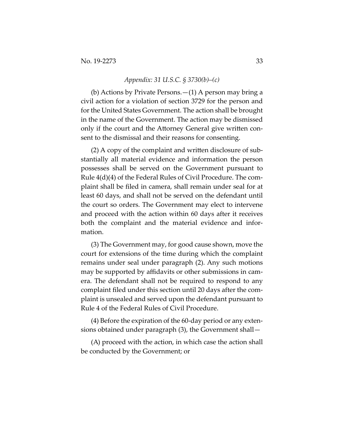#### *Appendix: 31 U.S.C. § 3730(b)–(c)*

(b) Actions by Private Persons.—(1) A person may bring a civil action for a violation of section 3729 for the person and for the United States Government. The action shall be brought in the name of the Government. The action may be dismissed only if the court and the Attorney General give written consent to the dismissal and their reasons for consenting.

(2) A copy of the complaint and written disclosure of substantially all material evidence and information the person possesses shall be served on the Government pursuant to Rule 4(d)(4) of the Federal Rules of Civil Procedure. The complaint shall be filed in camera, shall remain under seal for at least 60 days, and shall not be served on the defendant until the court so orders. The Government may elect to intervene and proceed with the action within 60 days after it receives both the complaint and the material evidence and information.

(3) The Government may, for good cause shown, move the court for extensions of the time during which the complaint remains under seal under paragraph (2). Any such motions may be supported by affidavits or other submissions in camera. The defendant shall not be required to respond to any complaint filed under this section until 20 days after the complaint is unsealed and served upon the defendant pursuant to Rule 4 of the Federal Rules of Civil Procedure.

(4) Before the expiration of the 60-day period or any extensions obtained under paragraph (3), the Government shall—

(A) proceed with the action, in which case the action shall be conducted by the Government; or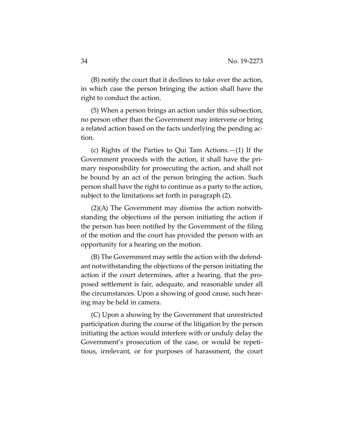(B) notify the court that it declines to take over the action, in which case the person bringing the action shall have the right to conduct the action.

(5) When a person brings an action under this subsection, no person other than the Government may intervene or bring a related action based on the facts underlying the pending action.

(c) Rights of the Parties to Qui Tam Actions.—(1) If the Government proceeds with the action, it shall have the primary responsibility for prosecuting the action, and shall not be bound by an act of the person bringing the action. Such person shall have the right to continue as a party to the action, subject to the limitations set forth in paragraph (2).

(2)(A) The Government may dismiss the action notwithstanding the objections of the person initiating the action if the person has been notified by the Government of the filing of the motion and the court has provided the person with an opportunity for a hearing on the motion.

(B) The Government may settle the action with the defendant notwithstanding the objections of the person initiating the action if the court determines, after a hearing, that the proposed settlement is fair, adequate, and reasonable under all the circumstances. Upon a showing of good cause, such hearing may be held in camera.

(C) Upon a showing by the Government that unrestricted participation during the course of the litigation by the person initiating the action would interfere with or unduly delay the Government's prosecution of the case, or would be repetitious, irrelevant, or for purposes of harassment, the court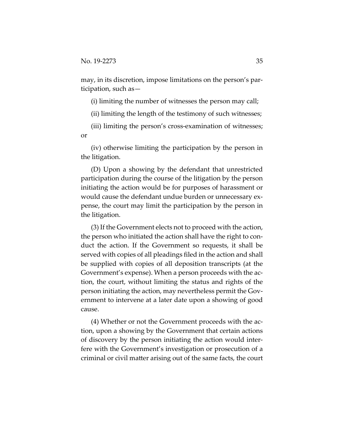may, in its discretion, impose limitations on the person's participation, such as—

(i) limiting the number of witnesses the person may call;

(ii) limiting the length of the testimony of such witnesses;

(iii) limiting the person's cross-examination of witnesses; or

(iv) otherwise limiting the participation by the person in the litigation.

(D) Upon a showing by the defendant that unrestricted participation during the course of the litigation by the person initiating the action would be for purposes of harassment or would cause the defendant undue burden or unnecessary expense, the court may limit the participation by the person in the litigation.

(3) If the Government elects not to proceed with the action, the person who initiated the action shall have the right to conduct the action. If the Government so requests, it shall be served with copies of all pleadings filed in the action and shall be supplied with copies of all deposition transcripts (at the Government's expense). When a person proceeds with the action, the court, without limiting the status and rights of the person initiating the action, may nevertheless permit the Government to intervene at a later date upon a showing of good cause.

(4) Whether or not the Government proceeds with the action, upon a showing by the Government that certain actions of discovery by the person initiating the action would interfere with the Government's investigation or prosecution of a criminal or civil matter arising out of the same facts, the court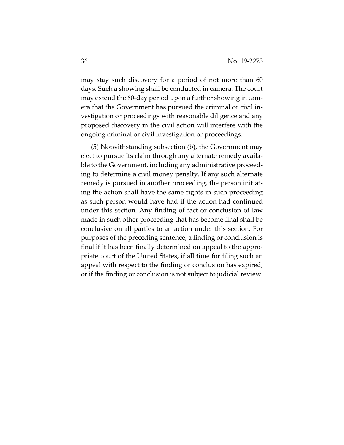may stay such discovery for a period of not more than 60 days. Such a showing shall be conducted in camera. The court may extend the 60-day period upon a further showing in camera that the Government has pursued the criminal or civil investigation or proceedings with reasonable diligence and any proposed discovery in the civil action will interfere with the ongoing criminal or civil investigation or proceedings.

(5) Notwithstanding subsection (b), the Government may elect to pursue its claim through any alternate remedy available to the Government, including any administrative proceeding to determine a civil money penalty. If any such alternate remedy is pursued in another proceeding, the person initiating the action shall have the same rights in such proceeding as such person would have had if the action had continued under this section. Any finding of fact or conclusion of law made in such other proceeding that has become final shall be conclusive on all parties to an action under this section. For purposes of the preceding sentence, a finding or conclusion is final if it has been finally determined on appeal to the appropriate court of the United States, if all time for filing such an appeal with respect to the finding or conclusion has expired, or if the finding or conclusion is not subject to judicial review.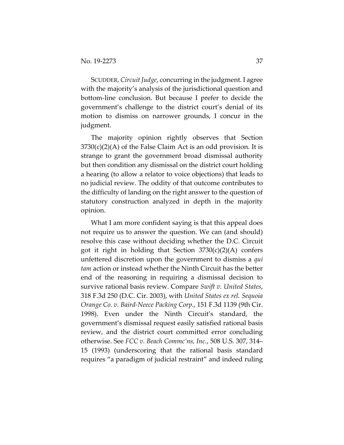SCUDDER, *Circuit Judge*, concurring in the judgment. I agree with the majority's analysis of the jurisdictional question and bottom-line conclusion. But because I prefer to decide the government's challenge to the district court's denial of its motion to dismiss on narrower grounds, I concur in the judgment.

The majority opinion rightly observes that Section  $3730(c)(2)(A)$  of the False Claim Act is an odd provision. It is strange to grant the government broad dismissal authority but then condition any dismissal on the district court holding a hearing (to allow a relator to voice objections) that leads to no judicial review. The oddity of that outcome contributes to the difficulty of landing on the right answer to the question of statutory construction analyzed in depth in the majority opinion.

What I am more confident saying is that this appeal does not require us to answer the question. We can (and should) resolve this case without deciding whether the D.C. Circuit got it right in holding that Section  $3730(c)(2)(A)$  confers unfettered discretion upon the government to dismiss a *qui tam* action or instead whether the Ninth Circuit has the better end of the reasoning in requiring a dismissal decision to survive rational basis review. Compare *Swift v. United States*, 318 F.3d 250 (D.C. Cir. 2003), with *United States ex rel. Sequoia Orange Co. v. Baird-Neece Packing Corp.*, 151 F.3d 1139 (9th Cir. 1998). Even under the Ninth Circuit's standard, the government's dismissal request easily satisfied rational basis review, and the district court committed error concluding otherwise. See *FCC v. Beach Commc'ns, Inc.*, 508 U.S. 307, 314– 15 (1993) (underscoring that the rational basis standard requires "a paradigm of judicial restraint" and indeed ruling